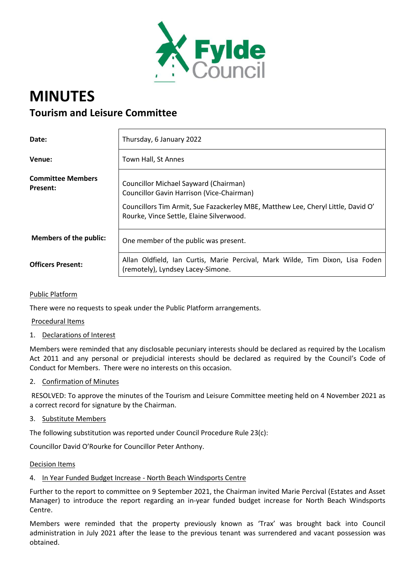

# **MINUTES Tourism and Leisure Committee**

| Date:                                       | Thursday, 6 January 2022                                                                                                                                                                                                  |
|---------------------------------------------|---------------------------------------------------------------------------------------------------------------------------------------------------------------------------------------------------------------------------|
| Venue:                                      | Town Hall, St Annes                                                                                                                                                                                                       |
| <b>Committee Members</b><br><b>Present:</b> | Councillor Michael Sayward (Chairman)<br><b>Councillor Gavin Harrison (Vice-Chairman)</b><br>Councillors Tim Armit, Sue Fazackerley MBE, Matthew Lee, Cheryl Little, David O'<br>Rourke, Vince Settle, Elaine Silverwood. |
| <b>Members of the public:</b>               | One member of the public was present.                                                                                                                                                                                     |
| <b>Officers Present:</b>                    | Allan Oldfield, Ian Curtis, Marie Percival, Mark Wilde, Tim Dixon, Lisa Foden<br>(remotely), Lyndsey Lacey-Simone.                                                                                                        |

#### Public Platform

There were no requests to speak under the Public Platform arrangements.

#### Procedural Items

#### 1. Declarations of Interest

Members were reminded that any disclosable pecuniary interests should be declared as required by the Localism Act 2011 and any personal or prejudicial interests should be declared as required by the Council's Code of Conduct for Members. There were no interests on this occasion.

2. Confirmation of Minutes

RESOLVED: To approve the minutes of the Tourism and Leisure Committee meeting held on 4 November 2021 as a correct record for signature by the Chairman.

3. Substitute Members

The following substitution was reported under Council Procedure Rule 23(c):

Councillor David O'Rourke for Councillor Peter Anthony.

#### Decision Items

## 4. In Year Funded Budget Increase - North Beach Windsports Centre

Further to the report to committee on 9 September 2021, the Chairman invited Marie Percival (Estates and Asset Manager) to introduce the report regarding an in-year funded budget increase for North Beach Windsports Centre.

Members were reminded that the property previously known as 'Trax' was brought back into Council administration in July 2021 after the lease to the previous tenant was surrendered and vacant possession was obtained.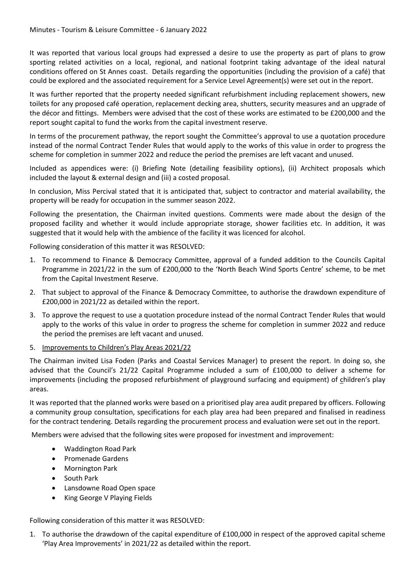It was reported that various local groups had expressed a desire to use the property as part of plans to grow sporting related activities on a local, regional, and national footprint taking advantage of the ideal natural conditions offered on St Annes coast. Details regarding the opportunities (including the provision of a café) that could be explored and the associated requirement for a Service Level Agreement(s) were set out in the report.

It was further reported that the property needed significant refurbishment including replacement showers, new toilets for any proposed café operation, replacement decking area, shutters, security measures and an upgrade of the décor and fittings. Members were advised that the cost of these works are estimated to be £200,000 and the report sought capital to fund the works from the capital investment reserve.

In terms of the procurement pathway, the report sought the Committee's approval to use a quotation procedure instead of the normal Contract Tender Rules that would apply to the works of this value in order to progress the scheme for completion in summer 2022 and reduce the period the premises are left vacant and unused.

Included as appendices were: (i) Briefing Note (detailing feasibility options), (ii) Architect proposals which included the layout & external design and (iii) a costed proposal.

In conclusion, Miss Percival stated that it is anticipated that, subject to contractor and material availability, the property will be ready for occupation in the summer season 2022.

Following the presentation, the Chairman invited questions. Comments were made about the design of the proposed facility and whether it would include appropriate storage, shower facilities etc. In addition, it was suggested that it would help with the ambience of the facility it was licenced for alcohol.

Following consideration of this matter it was RESOLVED:

- 1. To recommend to Finance & Democracy Committee, approval of a funded addition to the Councils Capital Programme in 2021/22 in the sum of £200,000 to the 'North Beach Wind Sports Centre' scheme, to be met from the Capital Investment Reserve.
- 2. That subject to approval of the Finance & Democracy Committee, to authorise the drawdown expenditure of £200,000 in 2021/22 as detailed within the report.
- 3. To approve the request to use a quotation procedure instead of the normal Contract Tender Rules that would apply to the works of this value in order to progress the scheme for completion in summer 2022 and reduce the period the premises are left vacant and unused.
- 5. Improvements to Children's Play Areas 2021/22

The Chairman invited Lisa Foden (Parks and Coastal Services Manager) to present the report. In doing so, she advised that the Council's 21/22 Capital Programme included a sum of £100,000 to deliver a scheme for improvements (including the proposed refurbishment of playground surfacing and equipment) of children's play areas.

It was reported that the planned works were based on a prioritised play area audit prepared by officers. Following a community group consultation, specifications for each play area had been prepared and finalised in readiness for the contract tendering. Details regarding the procurement process and evaluation were set out in the report.

Members were advised that the following sites were proposed for investment and improvement:

- Waddington Road Park
- Promenade Gardens
- Mornington Park
- South Park
- Lansdowne Road Open space
- King George V Playing Fields

Following consideration of this matter it was RESOLVED:

1. To authorise the drawdown of the capital expenditure of £100,000 in respect of the approved capital scheme 'Play Area Improvements' in 2021/22 as detailed within the report.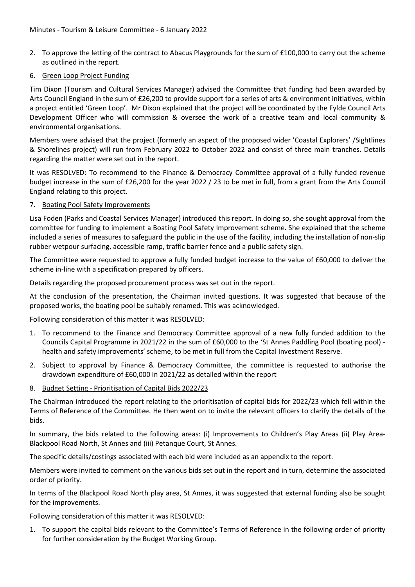- 2. To approve the letting of the contract to Abacus Playgrounds for the sum of £100,000 to carry out the scheme as outlined in the report.
- 6. Green Loop Project Funding

Tim Dixon (Tourism and Cultural Services Manager) advised the Committee that funding had been awarded by Arts Council England in the sum of £26,200 to provide support for a series of arts & environment initiatives, within a project entitled 'Green Loop'. Mr Dixon explained that the project will be coordinated by the Fylde Council Arts Development Officer who will commission & oversee the work of a creative team and local community & environmental organisations.

Members were advised that the project (formerly an aspect of the proposed wider 'Coastal Explorers' /Sightlines & Shorelines project) will run from February 2022 to October 2022 and consist of three main tranches. Details regarding the matter were set out in the report.

It was RESOLVED: To recommend to the Finance & Democracy Committee approval of a fully funded revenue budget increase in the sum of £26,200 for the year 2022 / 23 to be met in full, from a grant from the Arts Council England relating to this project.

7. Boating Pool Safety Improvements

Lisa Foden (Parks and Coastal Services Manager) introduced this report. In doing so, she sought approval from the committee for funding to implement a Boating Pool Safety Improvement scheme. She explained that the scheme included a series of measures to safeguard the public in the use of the facility, including the installation of non-slip rubber wetpour surfacing, accessible ramp, traffic barrier fence and a public safety sign.

The Committee were requested to approve a fully funded budget increase to the value of £60,000 to deliver the scheme in-line with a specification prepared by officers.

Details regarding the proposed procurement process was set out in the report.

At the conclusion of the presentation, the Chairman invited questions. It was suggested that because of the proposed works, the boating pool be suitably renamed. This was acknowledged.

Following consideration of this matter it was RESOLVED:

- 1. To recommend to the Finance and Democracy Committee approval of a new fully funded addition to the Councils Capital Programme in 2021/22 in the sum of £60,000 to the 'St Annes Paddling Pool (boating pool) health and safety improvements' scheme, to be met in full from the Capital Investment Reserve.
- 2. Subject to approval by Finance & Democracy Committee, the committee is requested to authorise the drawdown expenditure of £60,000 in 2021/22 as detailed within the report
- 8. Budget Setting Prioritisation of Capital Bids 2022/23

The Chairman introduced the report relating to the prioritisation of capital bids for 2022/23 which fell within the Terms of Reference of the Committee. He then went on to invite the relevant officers to clarify the details of the bids.

In summary, the bids related to the following areas: (i) Improvements to Children's Play Areas (ii) Play Area-Blackpool Road North, St Annes and (iii) Petanque Court, St Annes.

The specific details/costings associated with each bid were included as an appendix to the report.

Members were invited to comment on the various bids set out in the report and in turn, determine the associated order of priority.

In terms of the Blackpool Road North play area, St Annes, it was suggested that external funding also be sought for the improvements.

Following consideration of this matter it was RESOLVED:

1. To support the capital bids relevant to the Committee's Terms of Reference in the following order of priority for further consideration by the Budget Working Group.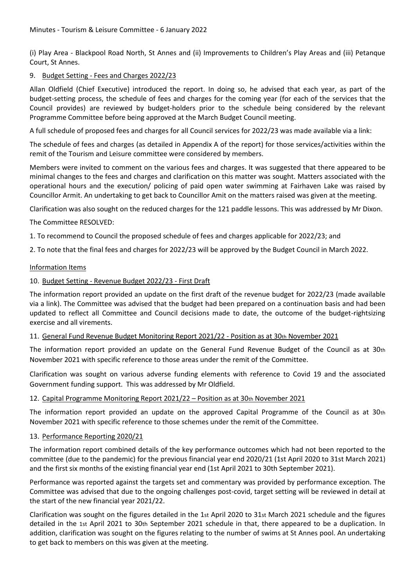(i) Play Area - Blackpool Road North, St Annes and (ii) Improvements to Children's Play Areas and (iii) Petanque Court, St Annes.

## 9. Budget Setting - Fees and Charges 2022/23

Allan Oldfield (Chief Executive) introduced the report. In doing so, he advised that each year, as part of the budget-setting process, the schedule of fees and charges for the coming year (for each of the services that the Council provides) are reviewed by budget-holders prior to the schedule being considered by the relevant Programme Committee before being approved at the March Budget Council meeting.

A full schedule of proposed fees and charges for all Council services for 2022/23 was made available via a link:

The schedule of fees and charges (as detailed in Appendix A of the report) for those services/activities within the remit of the Tourism and Leisure committee were considered by members.

Members were invited to comment on the various fees and charges. It was suggested that there appeared to be minimal changes to the fees and charges and clarification on this matter was sought. Matters associated with the operational hours and the execution/ policing of paid open water swimming at Fairhaven Lake was raised by Councillor Armit. An undertaking to get back to Councillor Amit on the matters raised was given at the meeting.

Clarification was also sought on the reduced charges for the 121 paddle lessons. This was addressed by Mr Dixon.

The Committee RESOLVED:

1. To recommend to Council the proposed schedule of fees and charges applicable for 2022/23; and

2. To note that the final fees and charges for 2022/23 will be approved by the Budget Council in March 2022.

## Information Items

## 10. Budget Setting - Revenue Budget 2022/23 - First Draft

The information report provided an update on the first draft of the revenue budget for 2022/23 (made available via a link). The Committee was advised that the budget had been prepared on a continuation basis and had been updated to reflect all Committee and Council decisions made to date, the outcome of the budget-rightsizing exercise and all virements.

## 11. General Fund Revenue Budget Monitoring Report 2021/22 - Position as at 30th November 2021

The information report provided an update on the General Fund Revenue Budget of the Council as at 30th November 2021 with specific reference to those areas under the remit of the Committee.

Clarification was sought on various adverse funding elements with reference to Covid 19 and the associated Government funding support. This was addressed by Mr Oldfield.

## 12. Capital Programme Monitoring Report 2021/22 – Position as at 30th November 2021

The information report provided an update on the approved Capital Programme of the Council as at 30th November 2021 with specific reference to those schemes under the remit of the Committee.

## 13. Performance Reporting 2020/21

The information report combined details of the key performance outcomes which had not been reported to the committee (due to the pandemic) for the previous financial year end 2020/21 (1st April 2020 to 31st March 2021) and the first six months of the existing financial year end (1st April 2021 to 30th September 2021).

Performance was reported against the targets set and commentary was provided by performance exception. The Committee was advised that due to the ongoing challenges post-covid, target setting will be reviewed in detail at the start of the new financial year 2021/22.

Clarification was sought on the figures detailed in the 1st April 2020 to 31st March 2021 schedule and the figures detailed in the 1st April 2021 to 30th September 2021 schedule in that, there appeared to be a duplication. In addition, clarification was sought on the figures relating to the number of swims at St Annes pool. An undertaking to get back to members on this was given at the meeting.